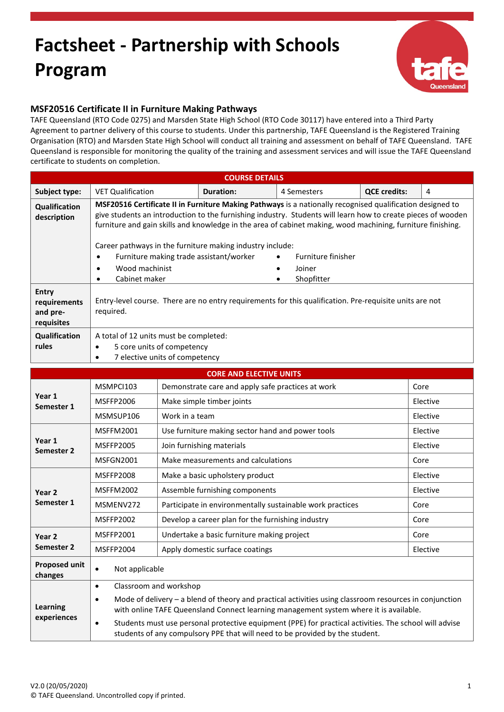## **Factsheet - Partnership with Schools Program**



## **MSF20516 Certificate II in Furniture Making Pathways**

TAFE Queensland (RTO Code 0275) and Marsden State High School (RTO Code 30117) have entered into a Third Party Agreement to partner delivery of this course to students. Under this partnership, TAFE Queensland is the Registered Training Organisation (RTO) and Marsden State High School will conduct all training and assessment on behalf of TAFE Queensland. TAFE Queensland is responsible for monitoring the quality of the training and assessment services and will issue the TAFE Queensland certificate to students on completion.

| <b>COURSE DETAILS</b>                                  |                                                                                                                                                                                                                                                                                                                                                                                                                                                                                                                                                                                       |                                                           |                                                  |             |                     |          |  |
|--------------------------------------------------------|---------------------------------------------------------------------------------------------------------------------------------------------------------------------------------------------------------------------------------------------------------------------------------------------------------------------------------------------------------------------------------------------------------------------------------------------------------------------------------------------------------------------------------------------------------------------------------------|-----------------------------------------------------------|--------------------------------------------------|-------------|---------------------|----------|--|
| Subject type:                                          | <b>VET Qualification</b>                                                                                                                                                                                                                                                                                                                                                                                                                                                                                                                                                              |                                                           | <b>Duration:</b>                                 | 4 Semesters | <b>QCE credits:</b> | 4        |  |
| Qualification<br>description                           | MSF20516 Certificate II in Furniture Making Pathways is a nationally recognised qualification designed to<br>give students an introduction to the furnishing industry. Students will learn how to create pieces of wooden<br>furniture and gain skills and knowledge in the area of cabinet making, wood machining, furniture finishing.<br>Career pathways in the furniture making industry include:<br>Furniture making trade assistant/worker<br>Furniture finisher<br>$\bullet$<br>$\bullet$<br>Wood machinist<br>Joiner<br>$\bullet$<br>Cabinet maker<br>Shopfitter<br>$\bullet$ |                                                           |                                                  |             |                     |          |  |
| <b>Entry</b><br>requirements<br>and pre-<br>requisites | Entry-level course. There are no entry requirements for this qualification. Pre-requisite units are not<br>required.                                                                                                                                                                                                                                                                                                                                                                                                                                                                  |                                                           |                                                  |             |                     |          |  |
| Qualification<br>rules                                 | A total of 12 units must be completed:<br>5 core units of competency<br>$\bullet$<br>7 elective units of competency<br>$\bullet$                                                                                                                                                                                                                                                                                                                                                                                                                                                      |                                                           |                                                  |             |                     |          |  |
|                                                        |                                                                                                                                                                                                                                                                                                                                                                                                                                                                                                                                                                                       |                                                           | <b>CORE AND ELECTIVE UNITS</b>                   |             |                     |          |  |
| Year 1<br>Semester 1                                   | MSMPCI103                                                                                                                                                                                                                                                                                                                                                                                                                                                                                                                                                                             | Demonstrate care and apply safe practices at work         |                                                  |             |                     | Core     |  |
|                                                        | <b>MSFFP2006</b>                                                                                                                                                                                                                                                                                                                                                                                                                                                                                                                                                                      | Make simple timber joints                                 |                                                  |             |                     | Elective |  |
|                                                        | MSMSUP106                                                                                                                                                                                                                                                                                                                                                                                                                                                                                                                                                                             | Work in a team                                            |                                                  |             |                     | Elective |  |
| Year 1<br>Semester 2                                   | <b>MSFFM2001</b>                                                                                                                                                                                                                                                                                                                                                                                                                                                                                                                                                                      |                                                           | Use furniture making sector hand and power tools |             |                     | Elective |  |
|                                                        | <b>MSFFP2005</b>                                                                                                                                                                                                                                                                                                                                                                                                                                                                                                                                                                      |                                                           | Join furnishing materials                        |             |                     | Elective |  |
|                                                        | MSFGN2001                                                                                                                                                                                                                                                                                                                                                                                                                                                                                                                                                                             | Make measurements and calculations                        |                                                  |             |                     | Core     |  |
| Year <sub>2</sub><br>Semester 1                        | <b>MSFFP2008</b>                                                                                                                                                                                                                                                                                                                                                                                                                                                                                                                                                                      |                                                           | Make a basic upholstery product                  |             |                     | Elective |  |
|                                                        | <b>MSFFM2002</b>                                                                                                                                                                                                                                                                                                                                                                                                                                                                                                                                                                      |                                                           | Assemble furnishing components                   |             |                     | Elective |  |
|                                                        | MSMENV272                                                                                                                                                                                                                                                                                                                                                                                                                                                                                                                                                                             | Participate in environmentally sustainable work practices |                                                  |             |                     | Core     |  |
|                                                        | <b>MSFFP2002</b>                                                                                                                                                                                                                                                                                                                                                                                                                                                                                                                                                                      | Develop a career plan for the furnishing industry         |                                                  |             |                     | Core     |  |
| Year 2<br>Semester 2                                   | MSFFP2001                                                                                                                                                                                                                                                                                                                                                                                                                                                                                                                                                                             |                                                           | Undertake a basic furniture making project       |             |                     | Core     |  |
|                                                        | <b>MSFFP2004</b>                                                                                                                                                                                                                                                                                                                                                                                                                                                                                                                                                                      |                                                           | Apply domestic surface coatings                  |             |                     | Elective |  |
| <b>Proposed unit</b><br>changes                        | Not applicable<br>$\bullet$                                                                                                                                                                                                                                                                                                                                                                                                                                                                                                                                                           |                                                           |                                                  |             |                     |          |  |
| <b>Learning</b><br>experiences                         | Classroom and workshop<br>$\bullet$<br>Mode of delivery $-$ a blend of theory and practical activities using classroom resources in conjunction<br>٠<br>with online TAFE Queensland Connect learning management system where it is available.<br>Students must use personal protective equipment (PPE) for practical activities. The school will advise<br>$\bullet$<br>students of any compulsory PPE that will need to be provided by the student.                                                                                                                                  |                                                           |                                                  |             |                     |          |  |